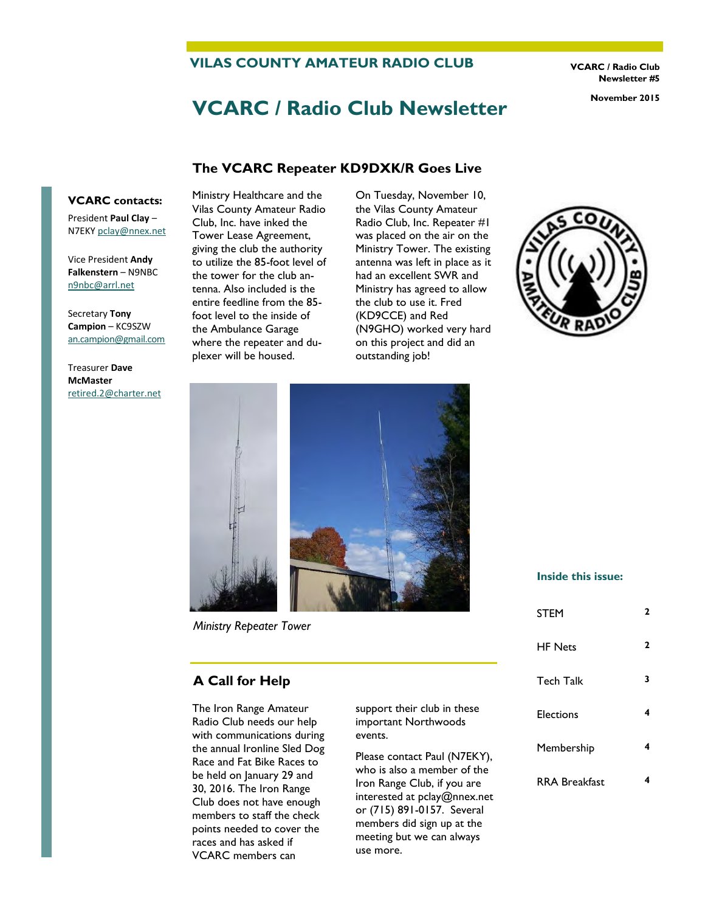**VILAS COUNTY AMATEUR RADIO CLUB** 

**VCARC / Radio Club Newsletter #5** 

# **VCARC / Radio Club Newsletter November 2015**

# **The VCARC Repeater KD9DXK/R Goes Live**

#### **VCARC contacts:**

President **Paul Clay** – N7EKY [pclay@nnex.net](mailto:pclay@nnex.net)

Vice President **Andy Falkenstern** – N9NBC [n9nbc@arrl.net](mailto:n9nbc@arrl.net)

Secretary **Tony Campion** – KC9SZW [an.campion@gmail.com](mailto:an.campion@gmail.com)

Treasurer **Dave McMaster**  [retired.2@charter.net](mailto:retired.2@charter.net) Ministry Healthcare and the Vilas County Amateur Radio Club, Inc. have inked the Tower Lease Agreement, giving the club the authority to utilize the 85-foot level of the tower for the club antenna. Also included is the entire feedline from the 85 foot level to the inside of the Ambulance Garage where the repeater and duplexer will be housed.

On Tuesday, November 10, the Vilas County Amateur Radio Club, Inc. Repeater #1 was placed on the air on the Ministry Tower. The existing antenna was left in place as it had an excellent SWR and Ministry has agreed to allow the club to use it. Fred (KD9CCE) and Red (N9GHO) worked very hard on this project and did an outstanding job!





*Ministry Repeater Tower*

#### **A Call for Help**

The Iron Range Amateur Radio Club needs our help with communications during the annual Ironline Sled Dog Race and Fat Bike Races to be held on January 29 and 30, 2016. The Iron Range Club does not have enough members to staff the check points needed to cover the races and has asked if VCARC members can

support their club in these important Northwoods events.

Please contact Paul (N7EKY), who is also a member of the Iron Range Club, if you are interested at pclay@nnex.net or (715) 891-0157. Several members did sign up at the meeting but we can always use more.

#### **Inside this issue:**

| <b>STEM</b>          | 2 |
|----------------------|---|
| <b>HF Nets</b>       | 2 |
| <b>Tech Talk</b>     | 3 |
| Elections            | 4 |
| Membership           | 4 |
| <b>RRA Breakfast</b> |   |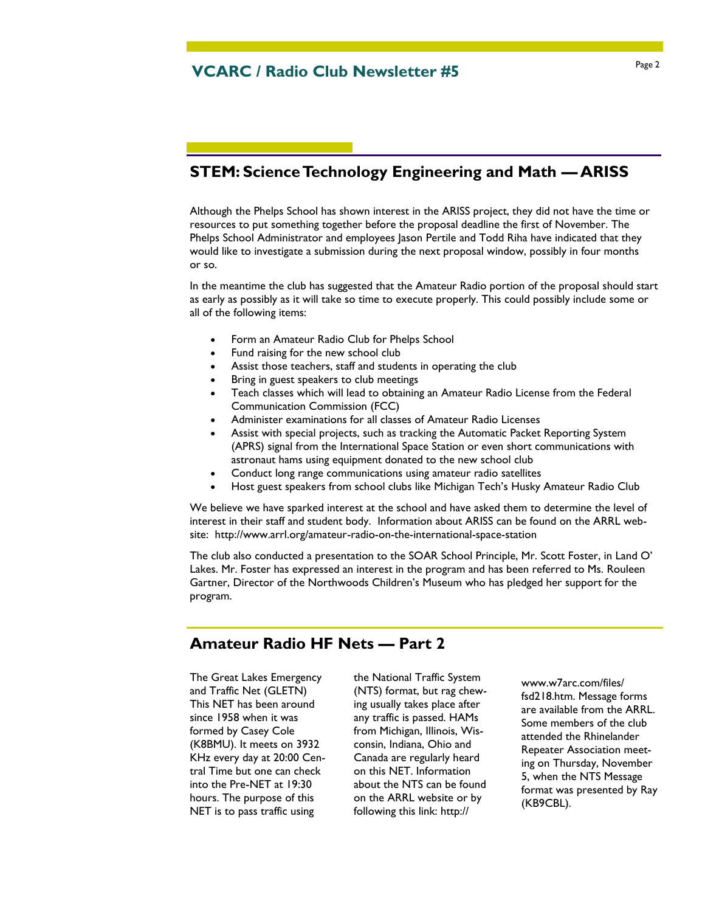## **STEM: Science Technology Engineering and Math — ARISS**

Although the Phelps School has shown interest in the ARISS project, they did not have the time or resources to put something together before the proposal deadline the first of November. The Phelps School Administrator and employees Jason Pertile and Todd Riha have indicated that they would like to investigate a submission during the next proposal window, possibly in four months or so.

In the meantime the club has suggested that the Amateur Radio portion of the proposal should start as early as possibly as it will take so time to execute properly. This could possibly include some or all of the following items:

- Form an Amateur Radio Club for Phelps School
- Fund raising for the new school club
- Assist those teachers, staff and students in operating the club
- Bring in guest speakers to club meetings
- Teach classes which will lead to obtaining an Amateur Radio License from the Federal Communication Commission (FCC)
- Administer examinations for all classes of Amateur Radio Licenses
- Assist with special projects, such as tracking the Automatic Packet Reporting System (APRS) signal from the International Space Station or even short communications with astronaut hams using equipment donated to the new school club
- Conduct long range communications using amateur radio satellites
- Host guest speakers from school clubs like Michigan Tech's Husky Amateur Radio Club

We believe we have sparked interest at the school and have asked them to determine the level of interest in their staff and student body. Information about ARISS can be found on the ARRL website: http://www.arrl.org/amateur-radio-on-the-international-space-station

The club also conducted a presentation to the SOAR School Principle, Mr. Scott Foster, in Land O' Lakes. Mr. Foster has expressed an interest in the program and has been referred to Ms. Rouleen Gartner, Director of the Northwoods Children's Museum who has pledged her support for the program.

#### **Amateur Radio HF Nets — Part 2**

The Great Lakes Emergency and Traffic Net (GLETN) This NET has been around since 1958 when it was formed by Casey Cole (K8BMU). It meets on 3932 KHz every day at 20:00 Central Time but one can check into the Pre-NET at 19:30 hours. The purpose of this NET is to pass traffic using

the National Traffic System (NTS) format, but rag chewing usually takes place after any traffic is passed. HAMs from Michigan, Illinois, Wisconsin, Indiana, Ohio and Canada are regularly heard on this NET. Information about the NTS can be found on the ARRL website or by following this link: http://

www.w7arc.com/files/ fsd218.htm. Message forms are available from the ARRL. Some members of the club attended the Rhinelander Repeater Association meeting on Thursday, November 5, when the NTS Message format was presented by Ray (KB9CBL).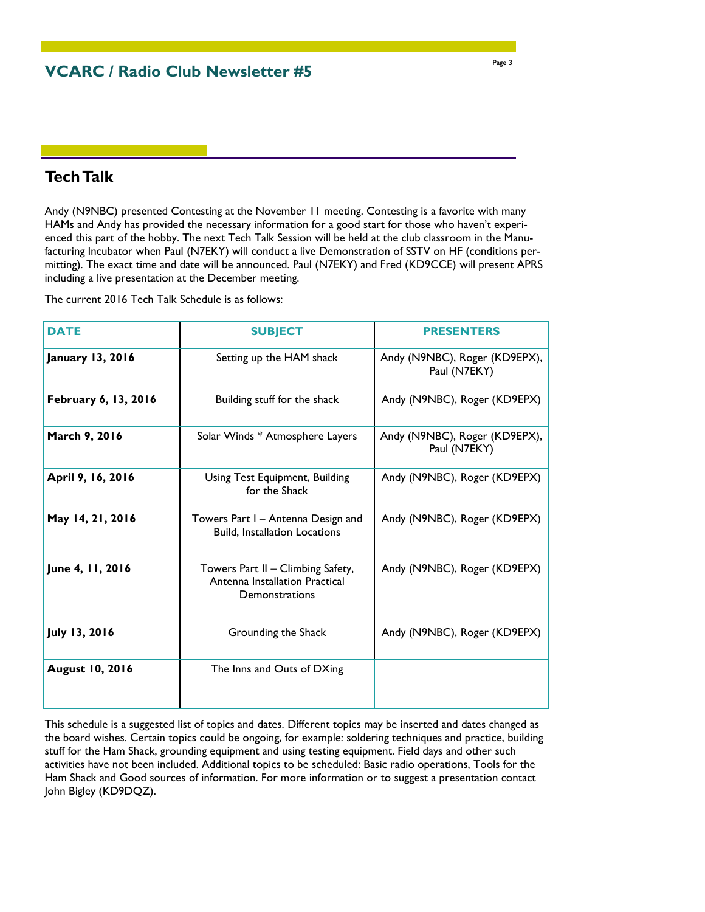**VCARC / Radio Club Newsletter #5** 

### **Tech Talk**

Andy (N9NBC) presented Contesting at the November 11 meeting. Contesting is a favorite with many HAMs and Andy has provided the necessary information for a good start for those who haven't experienced this part of the hobby. The next Tech Talk Session will be held at the club classroom in the Manufacturing Incubator when Paul (N7EKY) will conduct a live Demonstration of SSTV on HF (conditions permitting). The exact time and date will be announced. Paul (N7EKY) and Fred (KD9CCE) will present APRS including a live presentation at the December meeting.

The current 2016 Tech Talk Schedule is as follows:

| <b>DATE</b>             | <b>SUBJECT</b>                                                                        | <b>PRESENTERS</b>                             |
|-------------------------|---------------------------------------------------------------------------------------|-----------------------------------------------|
| <b>January 13, 2016</b> | Setting up the HAM shack                                                              | Andy (N9NBC), Roger (KD9EPX),<br>Paul (N7EKY) |
| February 6, 13, 2016    | Building stuff for the shack                                                          | Andy (N9NBC), Roger (KD9EPX)                  |
| March 9, 2016           | Solar Winds * Atmosphere Layers                                                       | Andy (N9NBC), Roger (KD9EPX),<br>Paul (N7EKY) |
| April 9, 16, 2016       | Using Test Equipment, Building<br>for the Shack                                       | Andy (N9NBC), Roger (KD9EPX)                  |
| May 14, 21, 2016        | Towers Part I – Antenna Design and<br><b>Build, Installation Locations</b>            | Andy (N9NBC), Roger (KD9EPX)                  |
| June 4, 11, 2016        | Towers Part II - Climbing Safety,<br>Antenna Installation Practical<br>Demonstrations | Andy (N9NBC), Roger (KD9EPX)                  |
| July 13, 2016           | Grounding the Shack                                                                   | Andy (N9NBC), Roger (KD9EPX)                  |
| <b>August 10, 2016</b>  | The Inns and Outs of DXing                                                            |                                               |

This schedule is a suggested list of topics and dates. Different topics may be inserted and dates changed as the board wishes. Certain topics could be ongoing, for example: soldering techniques and practice, building stuff for the Ham Shack, grounding equipment and using testing equipment. Field days and other such activities have not been included. Additional topics to be scheduled: Basic radio operations, Tools for the Ham Shack and Good sources of information. For more information or to suggest a presentation contact John Bigley (KD9DQZ).